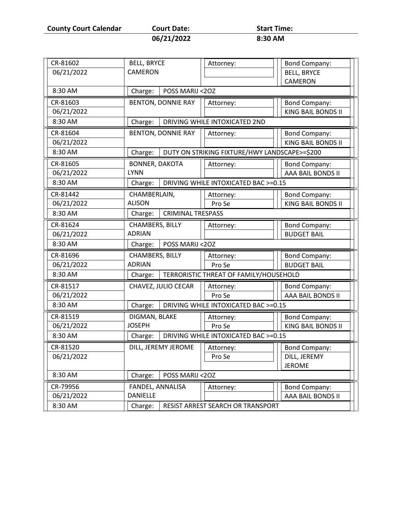**County Court Calendar Court Date: Start Time:** 

| <b>Court Date</b> |  |  |
|-------------------|--|--|
|                   |  |  |

**06/21/2022 8:30 AM**

CR-81602 BELL, BRYCE CAMERON Attorney:  $\vert\vert\vert$  Bond Company: BELL, BRYCE CAMERON 06/21/2022 8:30 AM Charge: POSS MARIJ <2OZ CR-81603 | BENTON, DONNIE RAY || Attorney: || Bond Company: 06/21/2022 **KING BAIL BONDS II** 8:30 AM  $\vert$  Charge: DRIVING WHILE INTOXICATED 2ND CR-81604 | BENTON, DONNIE RAY || Attorney: || Bond Company: 06/21/2022 **No. 2012 1: A SEARCH BONDS II** NO. 2014 1: NO. 2014 1: NO. 2014 8:30 AM  $\vert$  Charge: DUTY ON STRIKING FIXTURE/HWY LANDSCAPE>=\$200 CR-81605 BONNER, DAKOTA LYNN Attorney:  $\vert \vert \vert$  Bond Company: 06/21/2022 AAA BAIL BONDS II 8:30 AM  $\vert$  Charge: DRIVING WHILE INTOXICATED BAC >=0.15 CR-81442 CHAMBERLAIN, ALISON Attorney: Pro Se Bond Company: 06/21/2022 | ALISON | Pro Se | | KING BAIL BONDS II 8:30 AM  $\vert$  Charge: CRIMINAL TRESPASS CR-81624 CHAMBERS, BILLY ADRIAN Attorney:  $\vert\vert\vert$  Bond Company: 06/21/2022 BUDGET BAIL 8:30 AM Charge: POSS MARIJ <2OZ CR-81696 CHAMBERS, BILLY ADRIAN Attorney: Pro Se Bond Company: 06/21/2022 | ADRIAN | | Pro Se | | BUDGET BAIL 8:30 AM  $\vert$  Charge: TERRORISTIC THREAT OF FAMILY/HOUSEHOLD CR-81517 | CHAVEZ, JULIO CECAR | Attorney: Pro Se Bond Company: 06/21/2022 | Pro Se | Read BAIL BONDS II 8:30 AM  $\vert$  Charge: DRIVING WHILE INTOXICATED BAC >=0.15 CR-81519 DIGMAN, BLAKE JOSEPH Attorney: Pro Se Bond Company: 06/21/2022 | JOSEPH | Pro Se | | KING BAIL BONDS II 8:30 AM **Charge: DRIVING WHILE INTOXICATED BAC >=0.15** CR-81520 | DILL, JEREMY JEROME | Attorney: Pro Se Bond Company: DILL, JEREMY JEROME 06/21/2022 8:30 AM | Charge: | POSS MARIJ <20Z CR-79956 FANDEL, ANNALISA **DANIELLE** Attorney:  $\vert \vert \vert$  Bond Company: 06/21/2022 AAA BAIL BONDS II 8:30 AM **Charge: RESIST ARREST SEARCH OR TRANSPORT**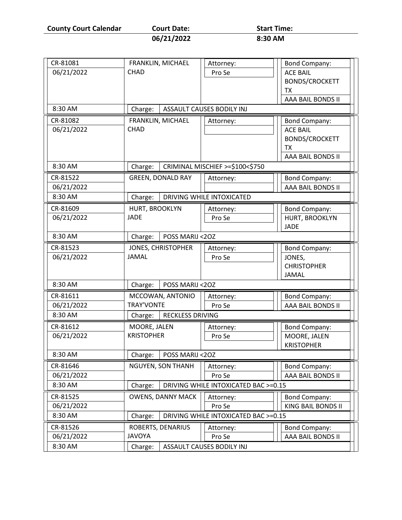**County Court Calendar Court Date:** Start Time:<br>06/21/2022 8:30 AM

**06/21/2022 8:30 AM**

| CR-81081   | FRANKLIN, MICHAEL          | Attorney:                            | <b>Bond Company:</b>  |  |
|------------|----------------------------|--------------------------------------|-----------------------|--|
| 06/21/2022 | <b>CHAD</b>                | Pro Se                               | <b>ACE BAIL</b>       |  |
|            |                            |                                      | <b>BONDS/CROCKETT</b> |  |
|            |                            |                                      | TX                    |  |
|            |                            |                                      | AAA BAIL BONDS II     |  |
| 8:30 AM    | Charge:                    | ASSAULT CAUSES BODILY INJ            |                       |  |
| CR-81082   | FRANKLIN, MICHAEL          | Attorney:                            | <b>Bond Company:</b>  |  |
| 06/21/2022 | <b>CHAD</b>                |                                      | <b>ACE BAIL</b>       |  |
|            |                            |                                      | <b>BONDS/CROCKETT</b> |  |
|            |                            |                                      | ТX                    |  |
|            |                            |                                      | AAA BAIL BONDS II     |  |
| 8:30 AM    | Charge:                    | CRIMINAL MISCHIEF >=\$100<\$750      |                       |  |
| CR-81522   | <b>GREEN, DONALD RAY</b>   | Attorney:                            | <b>Bond Company:</b>  |  |
| 06/21/2022 |                            |                                      | AAA BAIL BONDS II     |  |
| 8:30 AM    | Charge:                    | DRIVING WHILE INTOXICATED            |                       |  |
| CR-81609   | HURT, BROOKLYN             | Attorney:                            | <b>Bond Company:</b>  |  |
| 06/21/2022 | <b>JADE</b>                | Pro Se                               | HURT, BROOKLYN        |  |
|            |                            |                                      | <b>JADE</b>           |  |
| 8:30 AM    | POSS MARIJ <20Z<br>Charge: |                                      |                       |  |
| CR-81523   | JONES, CHRISTOPHER         | Attorney:                            | <b>Bond Company:</b>  |  |
| 06/21/2022 | <b>JAMAL</b>               | Pro Se                               | JONES,                |  |
|            |                            |                                      | <b>CHRISTOPHER</b>    |  |
|            |                            |                                      | <b>JAMAL</b>          |  |
| 8:30 AM    | POSS MARIJ <20Z<br>Charge: |                                      |                       |  |
| CR-81611   | MCCOWAN, ANTONIO           | Attorney:                            | <b>Bond Company:</b>  |  |
| 06/21/2022 | TRAY'VONTE                 | Pro Se                               | AAA BAIL BONDS II     |  |
| 8:30 AM    | Charge:                    | <b>RECKLESS DRIVING</b>              |                       |  |
| CR-81612   | MOORE, JALEN               | Attorney:                            | <b>Bond Company:</b>  |  |
| 06/21/2022 | <b>KRISTOPHER</b>          | Pro Se                               | MOORE, JALEN          |  |
|            |                            |                                      | <b>KRISTOPHER</b>     |  |
| 8:30 AM    | Charge:<br>POSS MARIJ <20Z |                                      |                       |  |
| CR-81646   | NGUYEN, SON THANH          | Attorney:                            | <b>Bond Company:</b>  |  |
| 06/21/2022 |                            | Pro Se                               | AAA BAIL BONDS II     |  |
| 8:30 AM    | Charge:                    | DRIVING WHILE INTOXICATED BAC >=0.15 |                       |  |
| CR-81525   | <b>OWENS, DANNY MACK</b>   | Attorney:                            | <b>Bond Company:</b>  |  |
| 06/21/2022 |                            | Pro Se                               | KING BAIL BONDS II    |  |
| 8:30 AM    | Charge:                    | DRIVING WHILE INTOXICATED BAC >=0.15 |                       |  |
| CR-81526   | ROBERTS, DENARIUS          | Attorney:                            | <b>Bond Company:</b>  |  |
| 06/21/2022 | <b>JAVOYA</b>              | Pro Se                               | AAA BAIL BONDS II     |  |
| 8:30 AM    | Charge:                    | ASSAULT CAUSES BODILY INJ            |                       |  |